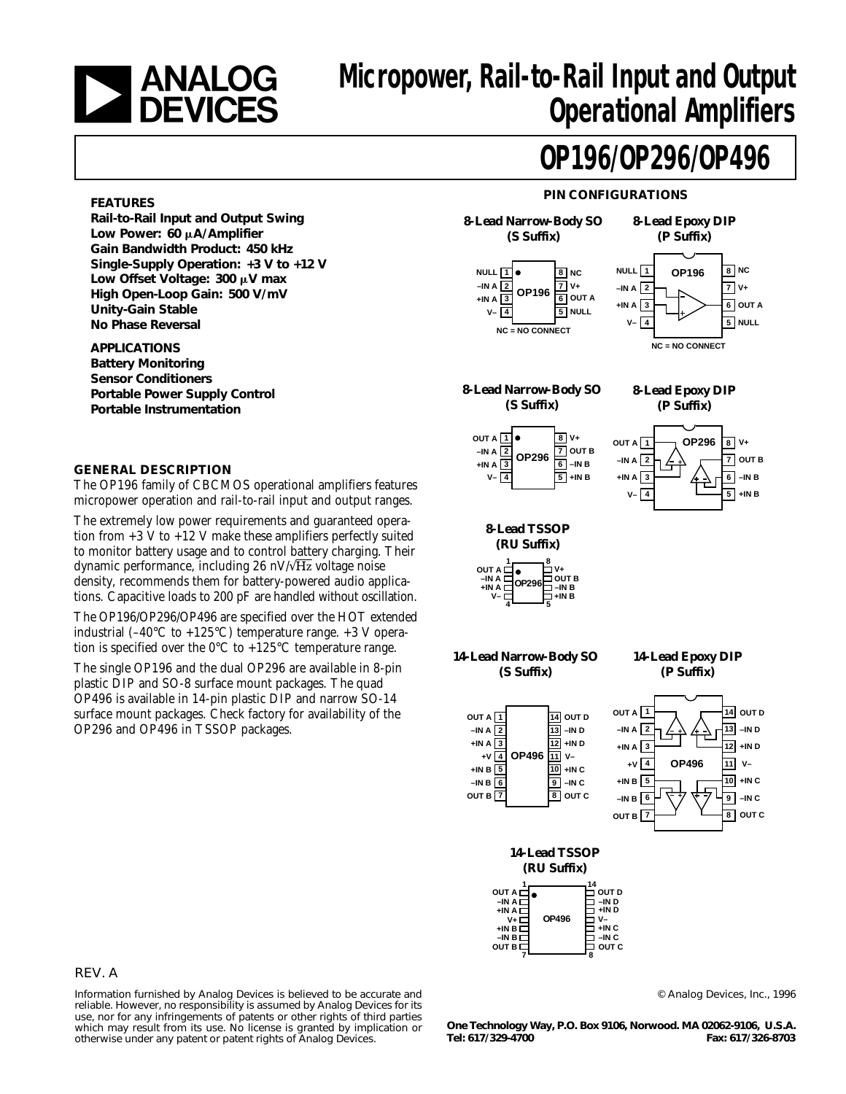

# **EXECUTE:** ANALOG Micropower, Rail-to-Rail Input and Output<br>Operational Amplifiers **Operational Amplifiers**

## **OP196/OP296/OP496**

#### **FEATURES**

**Rail-to-Rail Input and Output Swing Low Power: 60** m**A/Amplifier Gain Bandwidth Product: 450 kHz Single-Supply Operation: +3 V to +12 V** Low Offset Voltage: 300 µV max **High Open-Loop Gain: 500 V/mV Unity-Gain Stable No Phase Reversal**

**APPLICATIONS Battery Monitoring Sensor Conditioners Portable Power Supply Control Portable Instrumentation**

#### **GENERAL DESCRIPTION**

The OP196 family of CBCMOS operational amplifiers features micropower operation and rail-to-rail input and output ranges.

The extremely low power requirements and guaranteed operation from  $+3$  V to  $+12$  V make these amplifiers perfectly suited to monitor battery usage and to control battery charging. Their dynamic performance, including 26 nV/ $\sqrt{Hz}$  voltage noise density, recommends them for battery-powered audio applications. Capacitive loads to 200 pF are handled without oscillation.

The OP196/OP296/OP496 are specified over the HOT extended industrial  $(-40^{\circ}$ C to  $+125^{\circ}$ C) temperature range.  $+3$  V operation is specified over the  $0^{\circ}$ C to +125°C temperature range.

The single OP196 and the dual OP296 are available in 8-pin plastic DIP and SO-8 surface mount packages. The quad OP496 is available in 14-pin plastic DIP and narrow SO-14 surface mount packages. Check factory for availability of the OP296 and OP496 in TSSOP packages.

### **PIN CONFIGURATIONS**



| 14-Lead TSSOP               |                             |  |  |  |  |  |  |  |
|-----------------------------|-----------------------------|--|--|--|--|--|--|--|
| (RU Suffix)                 |                             |  |  |  |  |  |  |  |
|                             |                             |  |  |  |  |  |  |  |
| OUT A $\prod_{\text{in a}}$ | "ם<br> יירובים <br> יירובים |  |  |  |  |  |  |  |

| $+$ IN A $\square$<br>OP496<br>۷+۱<br>$+INB\square$<br>$-IN$ B D<br>OUT B L | OUT D<br>$-IND$<br>$+IND$<br>V-<br>$+INC$<br>$-INC$<br>OUT C |
|-----------------------------------------------------------------------------|--------------------------------------------------------------|
|                                                                             |                                                              |

#### REV. A

Information furnished by Analog Devices is believed to be accurate and reliable. However, no responsibility is assumed by Analog Devices for its use, nor for any infringements of patents or other rights of third parties which may result from its use. No license is granted by implication or otherwise under any patent or patent rights of Analog Devices.

© Analog Devices, Inc., 1996

**One Technology Way, P.O. Box 9106, Norwood. MA 02062-9106, U.S.A. Tel: 617/329-4700 Fax: 617/326-8703**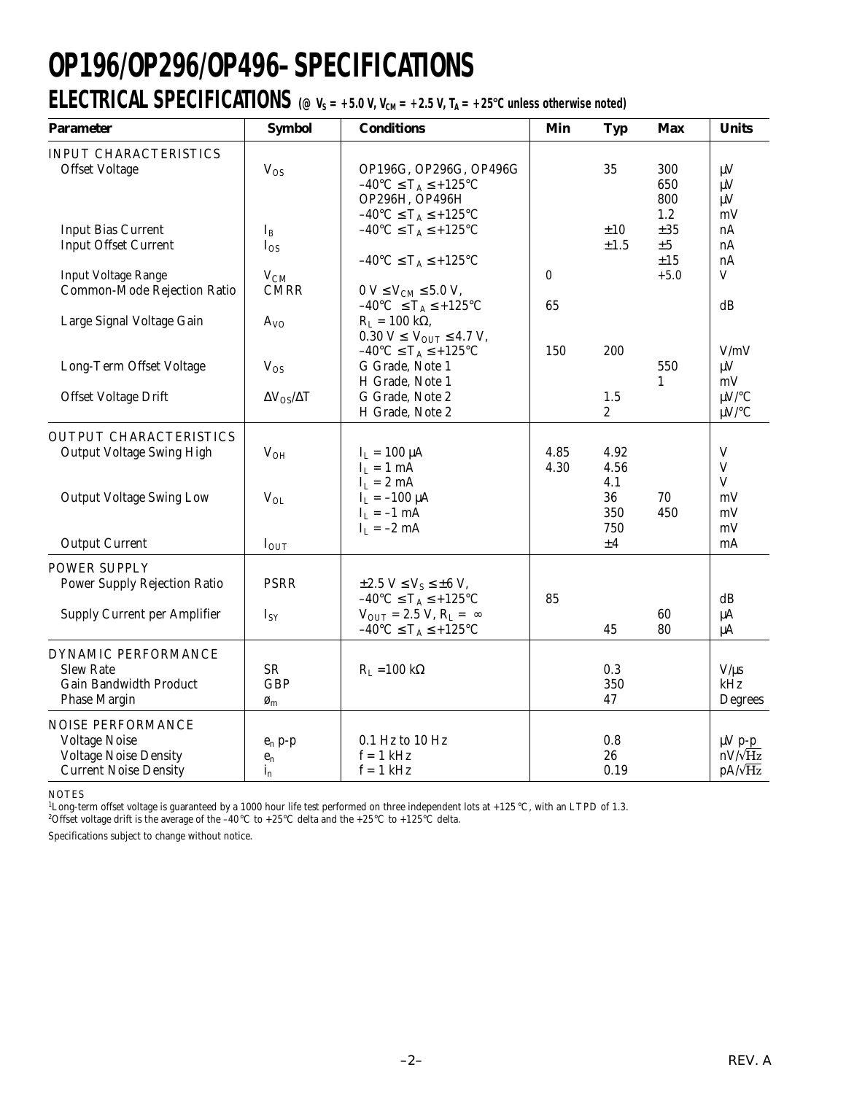# **OP196/OP296/OP496–SPECIFICATIONS**

### **ELECTRICAL SPECIFICATIONS** ( $\textcircled{v}_s = +5.0 \text{ V}$ ,  $V_{\text{CM}} = +2.5 \text{ V}$ ,  $T_A = +25 \text{°C}$  unless otherwise noted)

| <b>Parameter</b>                                                                                          | <b>Symbol</b>                                             | <b>Conditions</b>                                                                                                                                                                                                  | Min          | <b>Typ</b>                              | <b>Max</b>                           | <b>Units</b>                                      |
|-----------------------------------------------------------------------------------------------------------|-----------------------------------------------------------|--------------------------------------------------------------------------------------------------------------------------------------------------------------------------------------------------------------------|--------------|-----------------------------------------|--------------------------------------|---------------------------------------------------|
| <b>INPUT CHARACTERISTICS</b><br><b>Offset Voltage</b>                                                     | $V_{OS}$                                                  | OP196G, OP296G, OP496G<br>$-40^{\circ}C \leq T_A \leq +125^{\circ}C$<br>OP296H, OP496H                                                                                                                             |              | 35                                      | 300<br>650<br>800<br>1.2             | $\mu$ V<br>$\mu$ V<br>$\mu$ V<br>mV               |
| <b>Input Bias Current</b><br><b>Input Offset Current</b><br><b>Input Voltage Range</b>                    | $I_{B}$<br>$I_{OS}$<br>$V_{CM}$                           | $-40^{\circ}C \leq T_A \leq +125^{\circ}C$<br>$-40^{\circ}C \leq T_A \leq +125^{\circ}C$<br>$-40^{\circ}C \leq T_A \leq +125^{\circ}C$                                                                             | $\pmb{0}$    | ±10<br>$\pm 1.5$                        | ±35<br>$\pm 5$<br>$\pm 15$<br>$+5.0$ | nA<br>nA<br>nA<br>$\mathbf V$                     |
| Common-Mode Rejection Ratio                                                                               | <b>CMRR</b>                                               | $0 V \le V_{CM} \le 5.0 V,$<br>$-40^{\circ}$ C $\leq T_A \leq +125^{\circ}$ C                                                                                                                                      | 65           |                                         |                                      | dB                                                |
| Large Signal Voltage Gain<br>Long-Term Offset Voltage<br>Offset Voltage Drift                             | $A_{VQ}$<br>$V_{OS}$<br>$\Delta V_{OS}/\Delta T$          | $R_L = 100 k\Omega,$<br>$0.30 V \le V_{\text{OUT}} \le 4.7 V,$<br>$-40^{\circ}C \leq T_A \leq +125^{\circ}C$<br>G Grade, Note 1<br>H Grade, Note 1<br>G Grade, Note 2<br>H Grade, Note 2                           | 150          | 200<br>1.5<br>2                         | 550<br>$\mathbf{1}$                  | V/mV<br>$\mu$ V<br>mV<br>$\mu$ V/°C<br>$\mu$ V/°C |
| <b>OUTPUT CHARACTERISTICS</b><br><b>Output Voltage Swing High</b><br><b>Output Voltage Swing Low</b>      | $V_{OH}$<br>$V_{OL}$                                      | $I_L = 100 \mu A$<br>$I_L = 1$ mA<br>$I_L = 2 mA$<br>$I_L = -100 \mu A$<br>$I_L = -1$ mA<br>$I_1 = -2$ mA                                                                                                          | 4.85<br>4.30 | 4.92<br>4.56<br>4.1<br>36<br>350<br>750 | 70<br>450                            | V<br>$\mathbf V$<br>V<br>mV<br>mV<br>mV           |
| <b>Output Current</b>                                                                                     | $I_{OUT}$                                                 |                                                                                                                                                                                                                    |              | ±4                                      |                                      | mA                                                |
| <b>POWER SUPPLY</b><br><b>Power Supply Rejection Ratio</b><br><b>Supply Current per Amplifier</b>         | <b>PSRR</b><br>$I_{SY}$                                   | $\pm 2.5$ V $\leq$ V <sub>S</sub> $\leq \pm 6$ V,<br>$-40^{\circ}C \leq T_A \leq +125^{\circ}C$<br>$V_{\text{OUT}} = 2.5 V, R_{\text{L}} = \infty$<br>$-40^{\circ}\textrm{C} \leq T_A \leq +125^{\circ}\textrm{C}$ | 85           | 45                                      | 60<br>80                             | dB<br>$\mu A$<br>$\mu A$                          |
| DYNAMIC PERFORMANCE<br><b>Slew Rate</b><br><b>Gain Bandwidth Product</b><br><b>Phase Margin</b>           | <b>SR</b><br><b>GBP</b><br>$\boldsymbol{\varnothing}_{m}$ | $R_L = 100 k\Omega$                                                                                                                                                                                                |              | 0.3<br>350<br>47                        |                                      | $V/\mu s$<br>kHz<br>Degrees                       |
| NOISE PERFORMANCE<br><b>Voltage Noise</b><br><b>Voltage Noise Density</b><br><b>Current Noise Density</b> | $e_n$ p-p<br>$\mathbf{e}_\mathrm{n}$<br>$i_{n}$           | 0.1 Hz to 10 Hz<br>$f = 1$ kHz<br>$f = 1$ kHz                                                                                                                                                                      |              | 0.8<br>26<br>0.19                       |                                      | $\mu V$ p-p<br>$nV/\sqrt{Hz}$<br>$pA/\sqrt{Hz}$   |

NOTES

<sup>1</sup>Long-term offset voltage is guaranteed by a 1000 hour life test performed on three independent lots at +125 °C, with an LTPD of 1.3.<br><sup>2</sup>Offset voltage drift is the average of the –40 °C to +25 °C delta and the +25 °C t

Specifications subject to change without notice.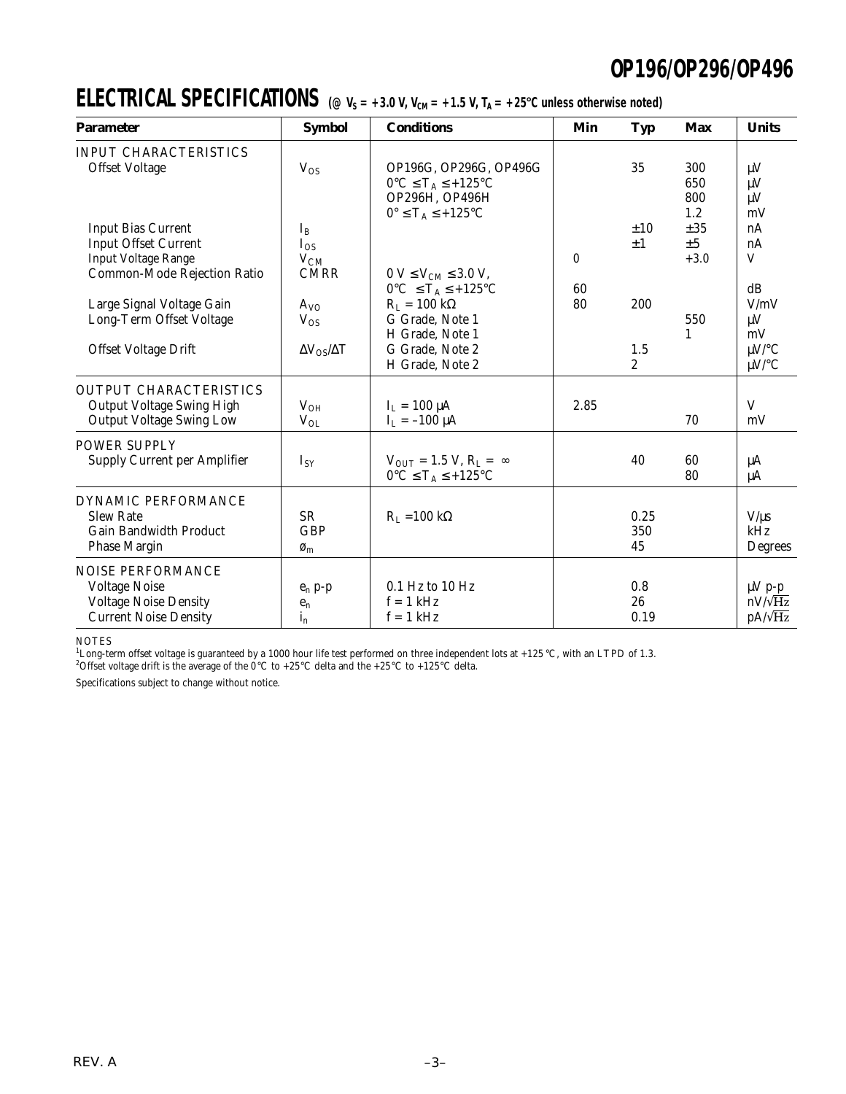### **ELECTRICAL SPECIFICATIONS** ( $\textcircled{v}_s = +3.0 \text{ V}$ ,  $V_{\text{CM}} = +1.5 \text{ V}$ ,  $T_A = +25^{\circ}$ C unless otherwise noted)

| <b>Parameter</b>                    | <b>Symbol</b>                  | <b>Conditions</b>                               | Min      | <b>Typ</b>     | <b>Max</b> | <b>Units</b>   |
|-------------------------------------|--------------------------------|-------------------------------------------------|----------|----------------|------------|----------------|
| <b>INPUT CHARACTERISTICS</b>        |                                |                                                 |          |                |            |                |
| <b>Offset Voltage</b>               | $V_{OS}$                       | OP196G, OP296G, OP496G                          |          | 35             | 300        | $\mu$ V        |
|                                     |                                | $0^{\circ}C \leq T_A \leq +125^{\circ}C$        |          |                | 650        | $\mu$ V        |
|                                     |                                | OP296H, OP496H                                  |          |                | 800        | $\mu$ V        |
|                                     |                                | $0^\circ \leq T_A \leq +125^\circ C$            |          |                | 1.2        | mV             |
| <b>Input Bias Current</b>           | $I_B$                          |                                                 |          | ±10            | $\pm 35$   | nA             |
| <b>Input Offset Current</b>         | $I_{OS}$                       |                                                 |          | $\pm 1$        | $\pm 5$    | nA             |
| <b>Input Voltage Range</b>          | $V_{CM}$                       |                                                 | $\theta$ |                | $+3.0$     | V              |
| Common-Mode Rejection Ratio         | <b>CMRR</b>                    | $0 V \le V_{CM} \le 3.0 V$ ,                    |          |                |            |                |
|                                     |                                | $0^{\circ}C \leq T_A \leq +125^{\circ}C$        | 60       |                |            | dB             |
| Large Signal Voltage Gain           | $A_{VQ}$                       | $R_L = 100 k\Omega$                             | 80       | 200            |            | V/mV           |
| Long-Term Offset Voltage            | $V_{OS}$                       | G Grade, Note 1                                 |          |                | 550        | $\mu V$        |
|                                     |                                | H Grade, Note 1                                 |          |                | 1          | mV             |
| Offset Voltage Drift                | $\Delta V_{OS}/\Delta T$       | G Grade, Note 2                                 |          | 1.5            |            | $\mu$ V/°C     |
|                                     |                                | H Grade, Note 2                                 |          | $\overline{2}$ |            | $\mu$ V/°C     |
| <b>OUTPUT CHARACTERISTICS</b>       |                                |                                                 |          |                |            |                |
| <b>Output Voltage Swing High</b>    | $V_{OH}$                       | $I_L = 100 \mu A$                               | 2.85     |                |            | V              |
| <b>Output Voltage Swing Low</b>     | $V_{OL}$                       | $I_L = -100 \mu A$                              |          |                | 70         | mV             |
| <b>POWER SUPPLY</b>                 |                                |                                                 |          |                |            |                |
| <b>Supply Current per Amplifier</b> | $I_{SY}$                       | $V_{\text{OUT}} = 1.5 V, R_{\text{L}} = \infty$ |          | 40             | 60         | μA             |
|                                     |                                | $0^{\circ}C \leq T_A \leq +125^{\circ}C$        |          |                | 80         | μA             |
| DYNAMIC PERFORMANCE                 |                                |                                                 |          |                |            |                |
| <b>Slew Rate</b>                    | <b>SR</b>                      | $R_L = 100 k\Omega$                             |          | 0.25           |            | $V/\mu s$      |
| <b>Gain Bandwidth Product</b>       | GBP                            |                                                 |          | 350            |            | kHz            |
| <b>Phase Margin</b>                 | $\boldsymbol{\varnothing}_{m}$ |                                                 |          | 45             |            | Degrees        |
| <b>NOISE PERFORMANCE</b>            |                                |                                                 |          |                |            |                |
| <b>Voltage Noise</b>                | $e_n$ p-p                      | 0.1 Hz to 10 Hz                                 |          | 0.8            |            | $\mu V p_p$    |
| <b>Voltage Noise Density</b>        | $e_n$                          | $f = 1$ kHz                                     |          | 26             |            | $nV/\sqrt{Hz}$ |
| <b>Current Noise Density</b>        | $i_{n}$                        | $f = 1$ kHz                                     |          | 0.19           |            | $pA/\sqrt{Hz}$ |

NOTES

<sup>1</sup>Long-term offset voltage is guaranteed by a 1000 hour life test performed on three independent lots at +125 °C, with an LTPD of 1.3.<br><sup>2</sup>Offset voltage drift is the average of the 0°C to +25°C delta and the +25°C to +12

Specifications subject to change without notice.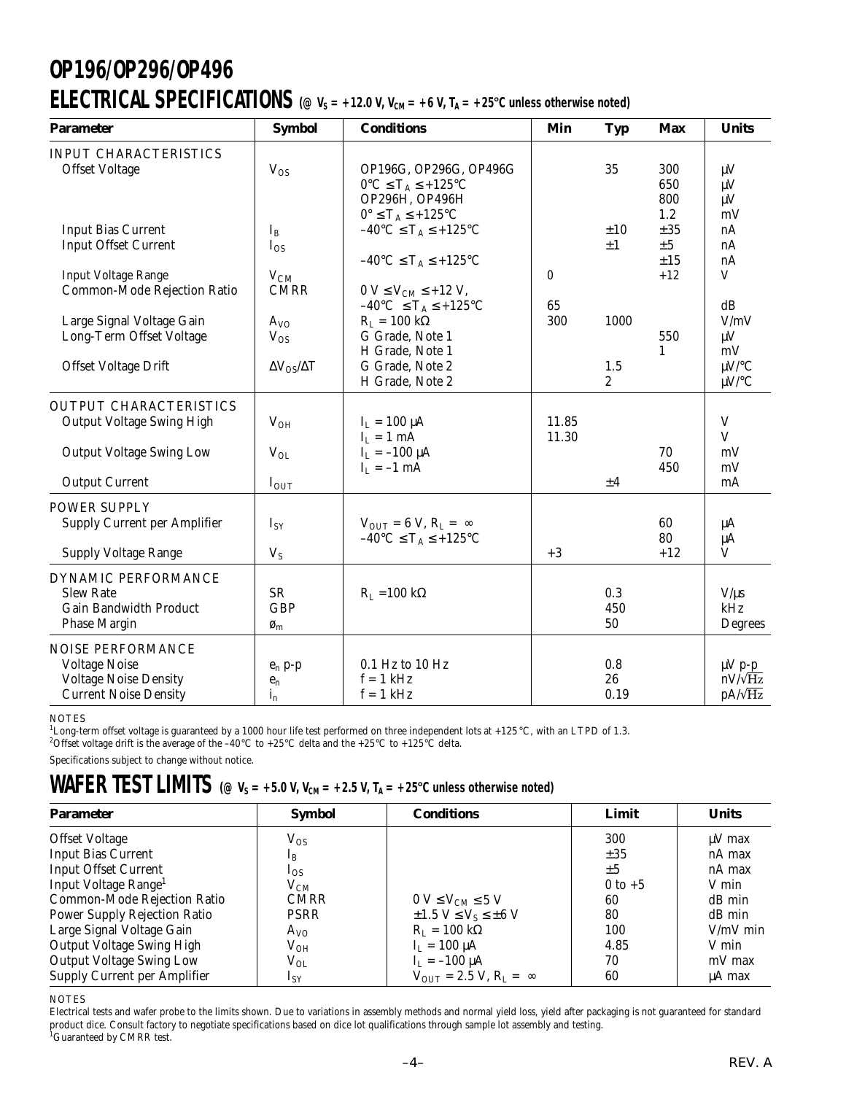### **OP196/OP296/OP496 ELECTRICAL SPECIFICATIONS** ( $\varnothing$  V<sub>S</sub> = +12.0 V, V<sub>CM</sub> = +6 V, T<sub>A</sub> = +25°C unless otherwise noted)

| <b>Parameter</b>                                                                                                 | <b>Symbol</b>                                             | <b>Conditions</b>                                                                                                                                  | Min            | <b>Typ</b>              | Max                                     | <b>Units</b>                                    |
|------------------------------------------------------------------------------------------------------------------|-----------------------------------------------------------|----------------------------------------------------------------------------------------------------------------------------------------------------|----------------|-------------------------|-----------------------------------------|-------------------------------------------------|
| <b>INPUT CHARACTERISTICS</b><br><b>Offset Voltage</b>                                                            | $V_{OS}$                                                  | OP196G, OP296G, OP496G<br>$0^{\circ}C \leq T_A \leq +125^{\circ}C$                                                                                 |                | 35                      | 300<br>650                              | $\mu V$<br>$\mu V$                              |
| <b>Input Bias Current</b><br><b>Input Offset Current</b><br><b>Input Voltage Range</b>                           | $I_B$<br>$I_{OS}$<br>$V_{CM}$                             | OP296H, OP496H<br>$0^\circ \leq T_A \leq +125^\circ C$<br>$-40^{\circ}C \leq T_A \leq +125^{\circ}C$<br>$-40^{\circ}C \leq T_A \leq +125^{\circ}C$ | $\bf{0}$       | ±10<br>$\pm 1$          | 800<br>1.2<br>±35<br>±5<br>±15<br>$+12$ | $\mu$ V<br>mV<br>nA<br>nA<br>nA<br>V            |
| Common-Mode Rejection Ratio                                                                                      | <b>CMRR</b>                                               | $0 V \leq V_{CM} \leq +12 V$ ,<br>$-40^{\circ}C \leq T_A \leq +125^{\circ}C$                                                                       | 65             |                         |                                         | dB                                              |
| Large Signal Voltage Gain<br>Long-Term Offset Voltage                                                            | $A_{VO}$<br>$V_{OS}$                                      | $R_L = 100 k\Omega$<br>G Grade, Note 1<br>H Grade, Note 1                                                                                          | 300            | 1000                    | 550<br>1                                | V/mV<br>$\mu V$<br>mV                           |
| Offset Voltage Drift                                                                                             | $\Delta V_{OS}/\Delta T$                                  | G Grade, Note 2<br>H Grade, Note 2                                                                                                                 |                | 1.5<br>$\boldsymbol{2}$ |                                         | $\mu$ V/°C<br>$\mu$ V/°C                        |
| <b>OUTPUT CHARACTERISTICS</b><br><b>Output Voltage Swing High</b>                                                | $V_{OH}$                                                  | $I_{L} = 100 \mu A$<br>$I_L = 1$ mA                                                                                                                | 11.85<br>11.30 |                         |                                         | $\mathbf V$<br>V                                |
| <b>Output Voltage Swing Low</b><br><b>Output Current</b>                                                         | $V_{OL}$<br>$I_{OUT}$                                     | $I_L = -100 \mu A$<br>$I_L = -1$ mA                                                                                                                |                | ±4                      | 70<br>450                               | mV<br>mV<br>mA                                  |
| <b>POWER SUPPLY</b>                                                                                              |                                                           |                                                                                                                                                    |                |                         |                                         |                                                 |
| <b>Supply Current per Amplifier</b>                                                                              | $I_{SY}$                                                  | $V_{OUT} = 6 V, R_L = \infty$<br>$-40^{\circ}C \leq T_A \leq +125^{\circ}C$                                                                        |                |                         | 60<br>80                                | μA<br>μA                                        |
| <b>Supply Voltage Range</b>                                                                                      | $V_S$                                                     |                                                                                                                                                    | $+3$           |                         | $+12$                                   | V                                               |
| DYNAMIC PERFORMANCE<br><b>Slew Rate</b><br><b>Gain Bandwidth Product</b><br><b>Phase Margin</b>                  | <b>SR</b><br><b>GBP</b><br>$\boldsymbol{\varnothing}_{m}$ | $R_L = 100 \text{ k}\Omega$                                                                                                                        |                | 0.3<br>450<br>50        |                                         | $V/\mu s$<br>kHz<br>Degrees                     |
| <b>NOISE PERFORMANCE</b><br><b>Voltage Noise</b><br><b>Voltage Noise Density</b><br><b>Current Noise Density</b> | $e_n$ p-p<br>$\mathbf{e}_{\mathbf{n}}$<br>$i_{n}$         | $0.1$ Hz to $10$ Hz<br>$f = 1$ kHz<br>$f = 1$ kHz                                                                                                  |                | 0.8<br>26<br>0.19       |                                         | $\mu V$ p-p<br>$nV/\sqrt{Hz}$<br>$pA/\sqrt{Hz}$ |

#### **NOTES**

<sup>1</sup>Long-term offset voltage is guaranteed by a 1000 hour life test performed on three independent lots at +125 °C, with an LTPD of 1.3.

<sup>2</sup>Offset voltage drift is the average of the –40°C to +25°C delta and the +25°C to +125°C delta.

Specifications subject to change without notice.

### $\text{WAFER TEST LIMITS} \text{ (} \text{\textcircled{e}} \text{ V}_s = +5.0 \text{ V}, \text{ V}_\text{\tiny CM} = +2.5 \text{ V}, \text{ T}_\text{\tiny A} = +25 \text{ }^\text{o}\text{C}$  unless otherwise noted)

| <b>Parameter</b>                    | <b>Symbol</b> | <b>Conditions</b>                                | Limit       | <b>Units</b> |
|-------------------------------------|---------------|--------------------------------------------------|-------------|--------------|
| <b>Offset Voltage</b>               | $\rm V_{OS}$  |                                                  | 300         | $\mu$ V max  |
| <b>Input Bias Current</b>           | $1_{\rm B}$   |                                                  | $\pm 35$    | nA max       |
| <b>Input Offset Current</b>         | $I_{OS}$      |                                                  | $\pm 5$     | nA max       |
| Input Voltage Range <sup>1</sup>    | $\rm V_{CM}$  |                                                  | $0$ to $+5$ | V min        |
| Common-Mode Rejection Ratio         | <b>CMRR</b>   | $0 V \leq V_{\text{CM}} \leq 5 V$                | 60          | dB min       |
| <b>Power Supply Rejection Ratio</b> | PSRR          | $\pm 1.5$ V $\leq$ V <sub>S</sub> $\leq \pm 6$ V | 80          | dB min       |
| Large Signal Voltage Gain           | $A_{VO}$      | $R_L = 100 k\Omega$                              | 100         | $V/mV$ min   |
| <b>Output Voltage Swing High</b>    | $\rm V_{OH}$  | $I_{I} = 100 \mu A$                              | 4.85        | V min        |
| <b>Output Voltage Swing Low</b>     | $\rm V_{OL}$  | $I_{I} = -100 \mu A$                             | 70          | mV max       |
| <b>Supply Current per Amplifier</b> | $I_{SY}$      | $V_{\text{OUT}} = 2.5 V, R_{\text{L}} = \infty$  | 60          | µA max       |

NOTES

Electrical tests and wafer probe to the limits shown. Due to variations in assembly methods and normal yield loss, yield after packaging is not guaranteed for standard product dice. Consult factory to negotiate specifications based on dice lot qualifications through sample lot assembly and testing.<br><sup>1</sup>Guaranteed by CMRR test.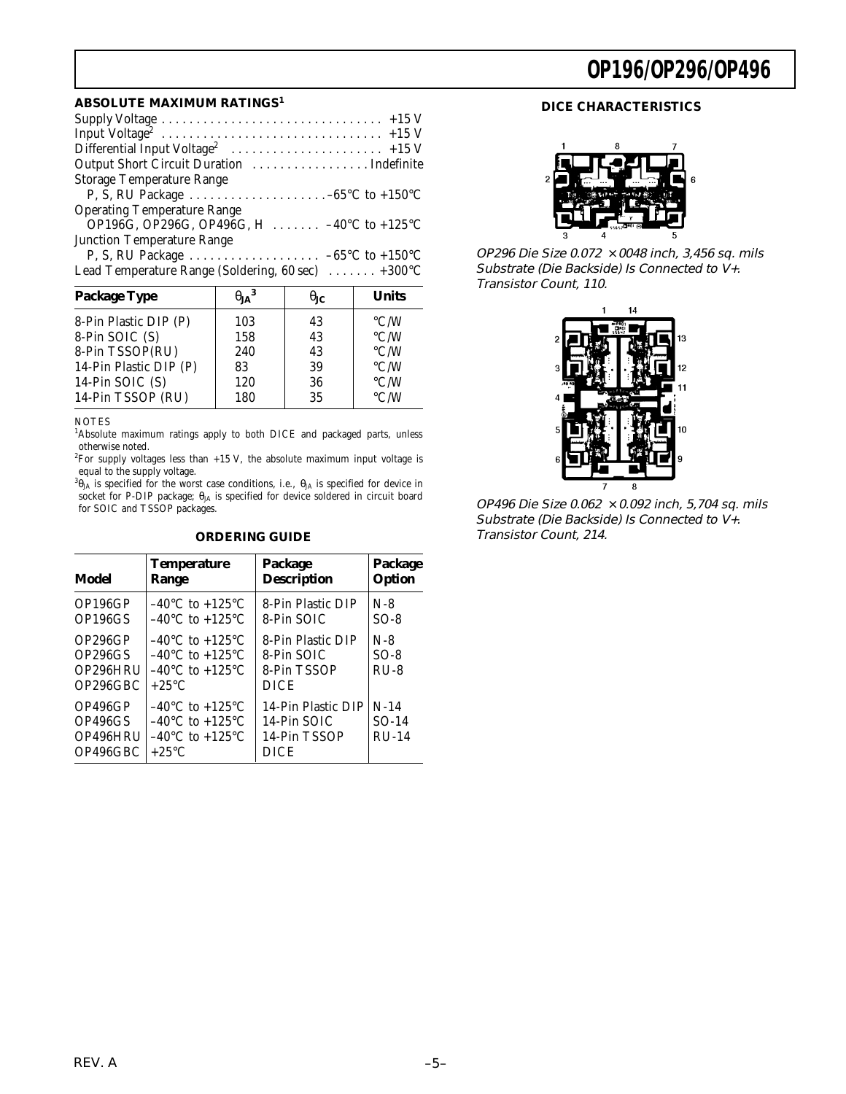#### **ABSOLUTE MAXIMUM RATINGS<sup>1</sup>**

| <b>Storage Temperature Range</b>                                        |
|-------------------------------------------------------------------------|
| P, S, RU Package $\dots \dots \dots \dots \dots \dots -65$ °C to +150°C |
| <b>Operating Temperature Range</b>                                      |
| OP196G, OP296G, OP496G, H  -40°C to +125°C                              |
| <b>Junction Temperature Range</b>                                       |
|                                                                         |
| Lead Temperature Range (Soldering, 60 sec)  +300°C                      |

| <b>Package Type</b>    | $\theta_{JA}^3$ | $\theta_{\rm IC}$ | <b>Units</b>       |
|------------------------|-----------------|-------------------|--------------------|
| 8-Pin Plastic DIP (P)  | 103             | 43                | $\rm ^{\circ}$ C/W |
| 8-Pin SOIC (S)         | 158             | 43                | $\rm ^{\circ}$ C/W |
| 8-Pin TSSOP(RU)        | 240             | 43                | $\rm ^{\circ}$ C/W |
| 14-Pin Plastic DIP (P) | 83              | 39                | $\rm ^{\circ}$ C/W |
| 14-Pin SOIC (S)        | 120             | 36                | $\rm ^{\circ}$ C/W |
| 14-Pin TSSOP (RU)      | 180             | 35                | $\rm ^{\circ}$ C/W |

#### NOTES

<sup>1</sup>Absolute maximum ratings apply to both DICE and packaged parts, unless otherwise noted.

<sup>2</sup>For supply voltages less than  $+15$  V, the absolute maximum input voltage is equal to the supply voltage.

 ${}^3\Theta_{\rm JA}$  is specified for the worst case conditions, i.e.,  $\Theta_{\rm JA}$  is specified for device in socket for P-DIP package;  $\theta_{\rm JA}$  is specified for device soldered in circuit board for SOIC and TSSOP packages.

#### **ORDERING GUIDE**

| Model                                                   | <b>Temperature</b>                                                                                                                   | Package                                                          | Package                      |
|---------------------------------------------------------|--------------------------------------------------------------------------------------------------------------------------------------|------------------------------------------------------------------|------------------------------|
|                                                         | Range                                                                                                                                | <b>Description</b>                                               | Option                       |
| OP196GP                                                 | $-40^{\circ}$ C to $+125^{\circ}$ C                                                                                                  | 8-Pin Plastic DIP                                                | $N-8$                        |
| OP196GS                                                 | $-40^{\circ}$ C to $+125^{\circ}$ C                                                                                                  | 8-Pin SOIC                                                       | $SO-8$                       |
| OP296GP<br>OP <sub>296</sub> GS<br>OP296HRU<br>OP296GBC | $-40^{\circ}$ C to $+125^{\circ}$ C<br>$-40^{\circ}$ C to $+125^{\circ}$ C<br>$-40^{\circ}$ C to $+125^{\circ}$ C<br>$+25^{\circ}$ C | 8-Pin Plastic DIP<br>8-Pin SOIC<br>8-Pin TSSOP<br><b>DICE</b>    | $N-8$<br>$SO-8$<br>$RIJ-8$   |
| OP496GP<br>OP496GS<br>OP496HRU<br>OP496GBC              | $-40^{\circ}$ C to $+125^{\circ}$ C<br>$-40^{\circ}$ C to $+125^{\circ}$ C<br>$-40^{\circ}$ C to $+125^{\circ}$ C<br>$+25\degree$ C  | 14-Pin Plastic DIP<br>14-Pin SOIC<br>14-Pin TSSOP<br><b>DICE</b> | $N-14$<br>$SO-14$<br>$RU-14$ |

### **DICE CHARACTERISTICS**



OP296 Die Size 0.072  $\times$  0048 inch, 3,456 sq. mils Substrate (Die Backside) Is Connected to V+. Transistor Count, 110.



OP496 Die Size 0.062  $\times$  0.092 inch, 5,704 sq. mils Substrate (Die Backside) Is Connected to V+. Transistor Count, 214.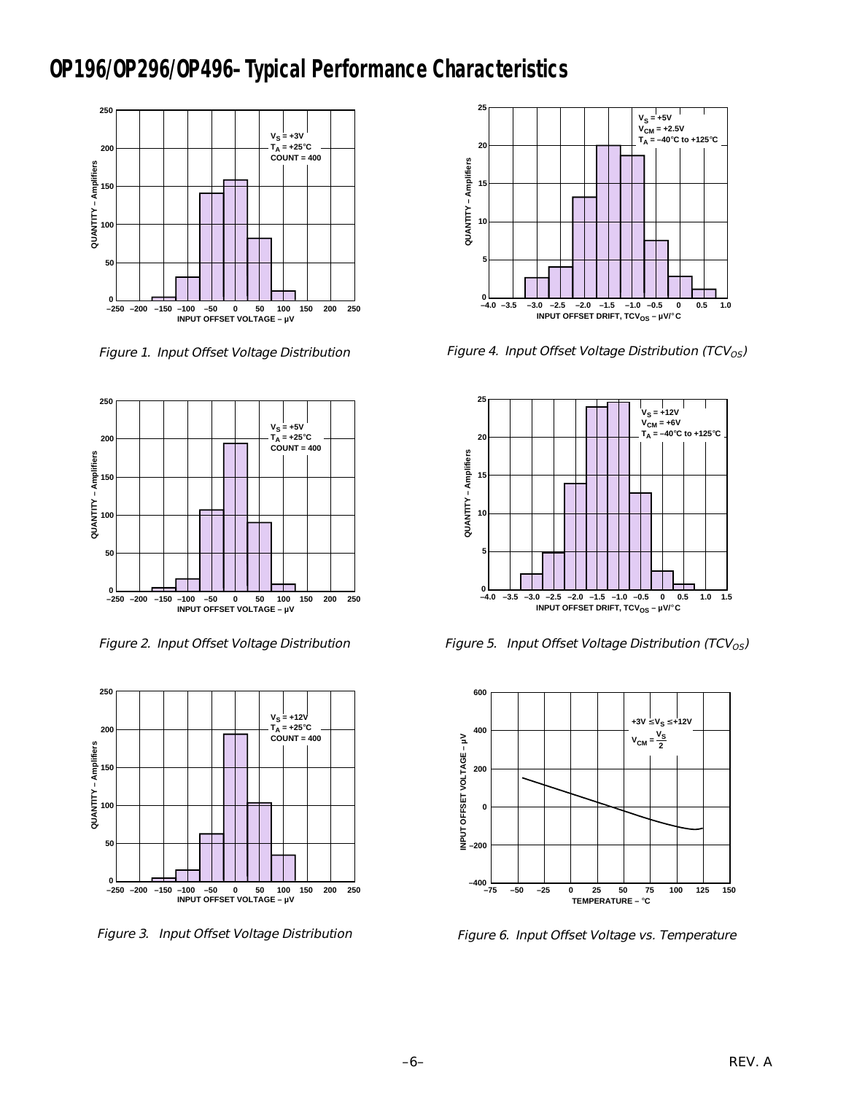### **OP196/OP296/OP496–Typical Performance Characteristics**



Figure 1. Input Offset Voltage Distribution



Figure 2. Input Offset Voltage Distribution



Figure 3. Input Offset Voltage Distribution



Figure 4. Input Offset Voltage Distribution (TCV $_{OS}$ )



Figure 5. Input Offset Voltage Distribution (TCV<sub>OS</sub>)



Figure 6. Input Offset Voltage vs. Temperature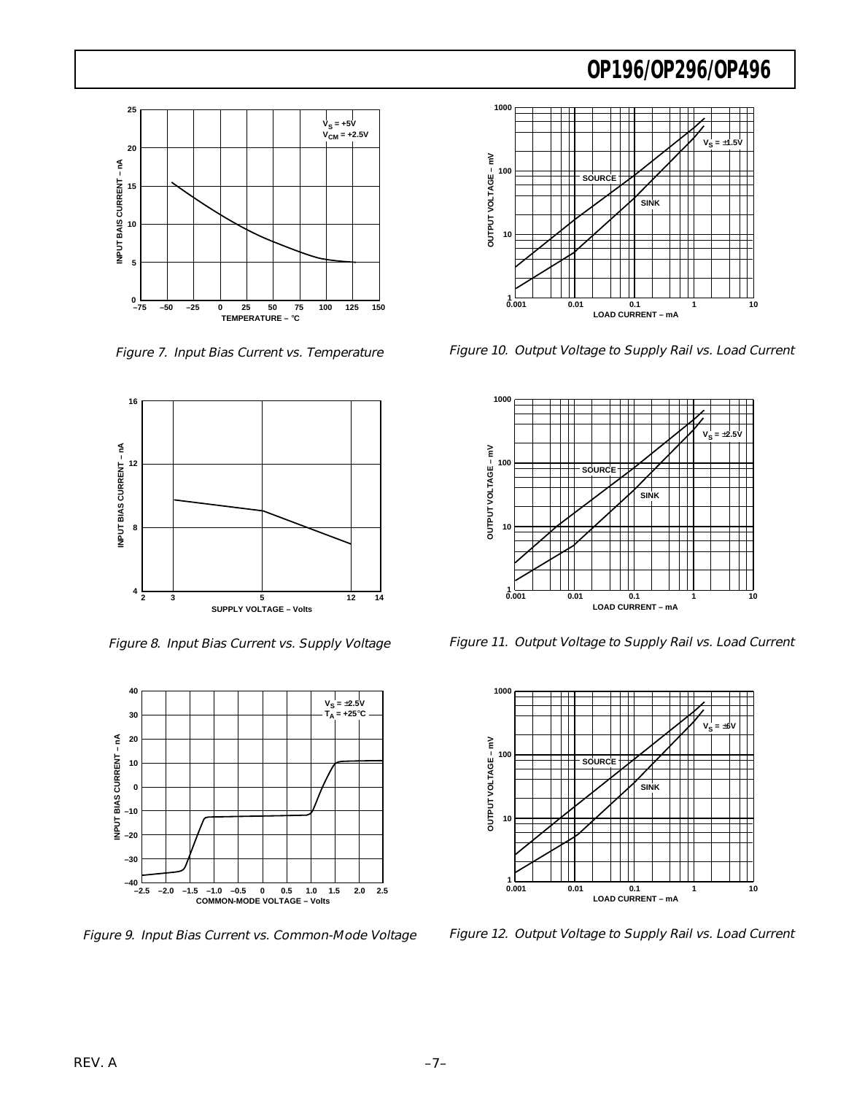

Figure 7. Input Bias Current vs. Temperature



Figure 8. Input Bias Current vs. Supply Voltage



Figure 9. Input Bias Current vs. Common-Mode Voltage



Figure 10. Output Voltage to Supply Rail vs. Load Current



Figure 11. Output Voltage to Supply Rail vs. Load Current



Figure 12. Output Voltage to Supply Rail vs. Load Current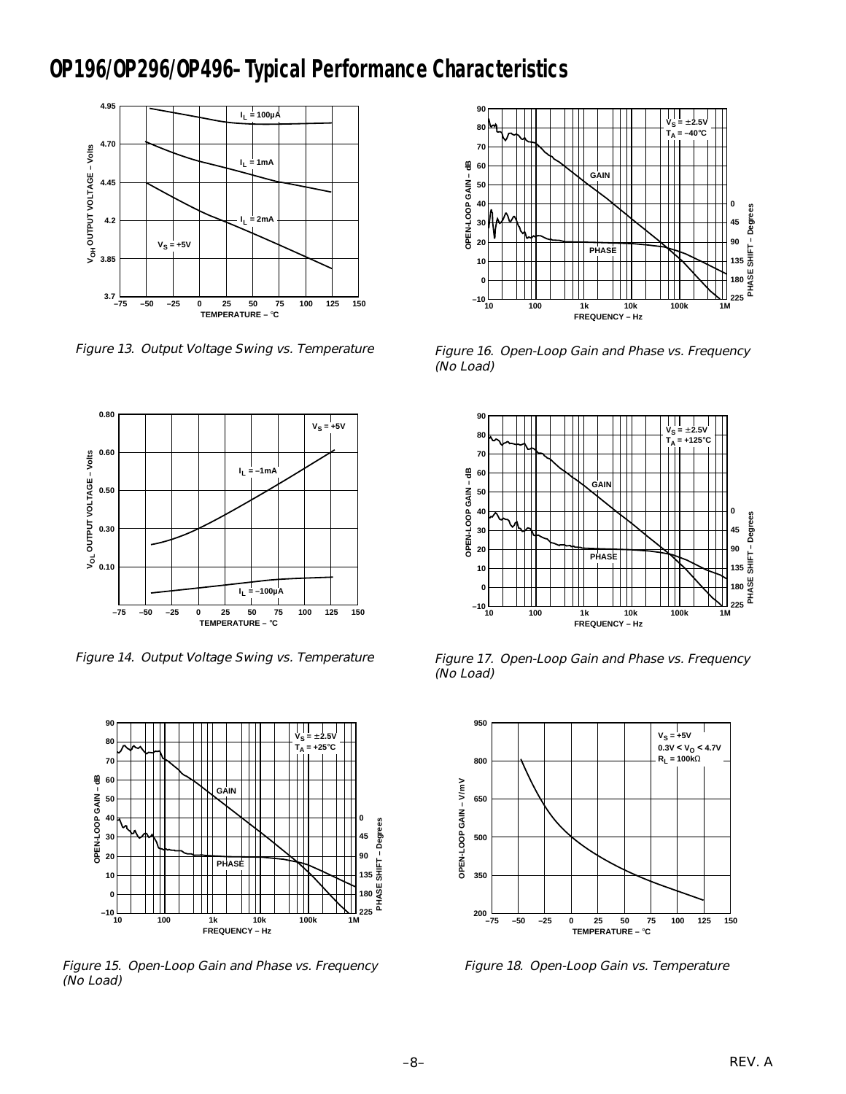### **OP196/OP296/OP496–Typical Performance Characteristics**



Figure 13. Output Voltage Swing vs. Temperature



Figure 14. Output Voltage Swing vs. Temperature



Figure 15. Open-Loop Gain and Phase vs. Frequency (No Load)



Figure 16. Open-Loop Gain and Phase vs. Frequency (No Load)



Figure 17. Open-Loop Gain and Phase vs. Frequency (No Load)



Figure 18. Open-Loop Gain vs. Temperature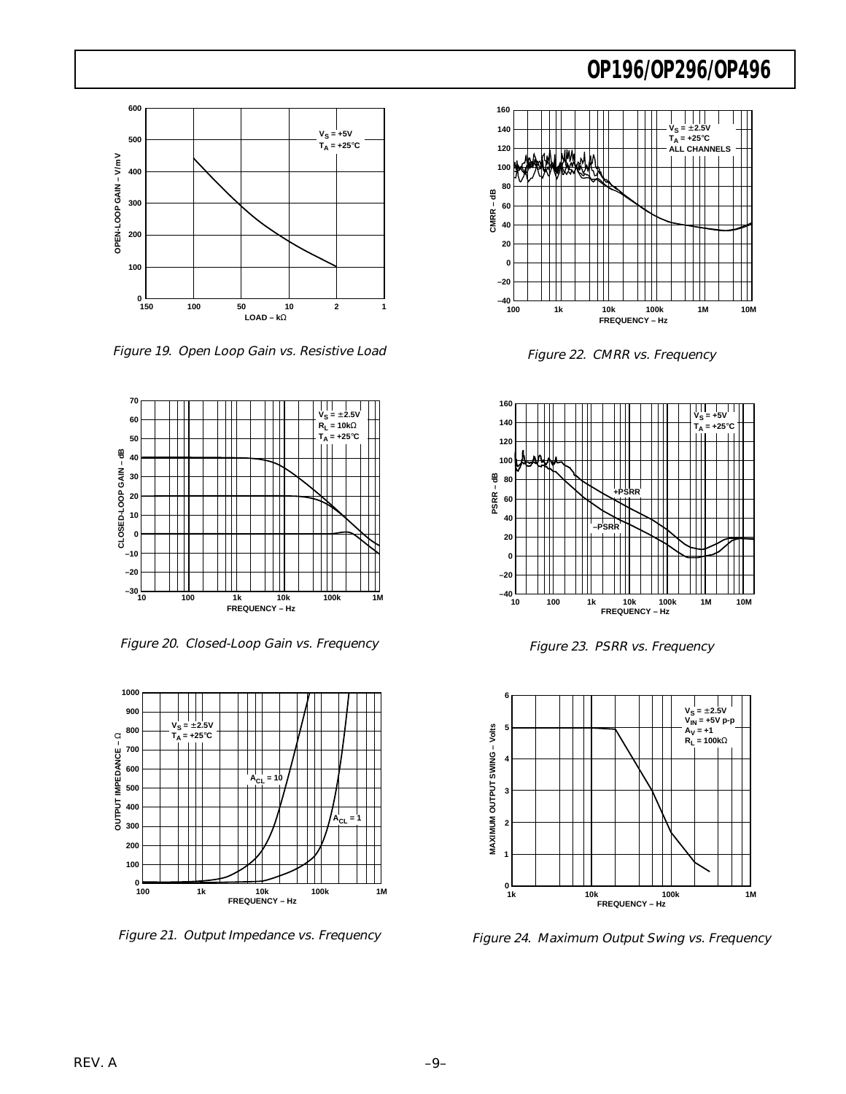

Figure 19. Open Loop Gain vs. Resistive Load



Figure 20. Closed-Loop Gain vs. Frequency



Figure 21. Output Impedance vs. Frequency



Figure 22. CMRR vs. Frequency



Figure 23. PSRR vs. Frequency



Figure 24. Maximum Output Swing vs. Frequency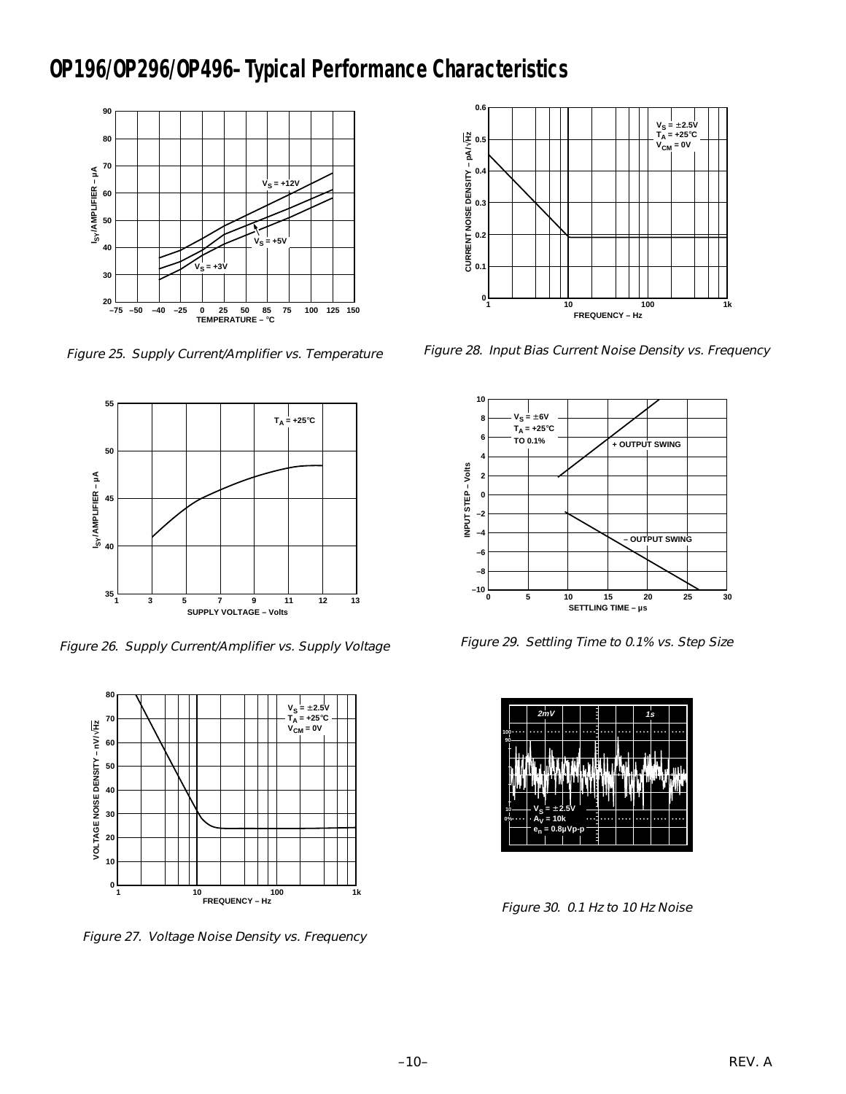### **OP196/OP296/OP496–Typical Performance Characteristics**



Figure 25. Supply Current/Amplifier vs. Temperature



Figure 26. Supply Current/Amplifier vs. Supply Voltage



Figure 27. Voltage Noise Density vs. Frequency



Figure 28. Input Bias Current Noise Density vs. Frequency



Figure 29. Settling Time to 0.1% vs. Step Size



Figure 30. 0.1 Hz to 10 Hz Noise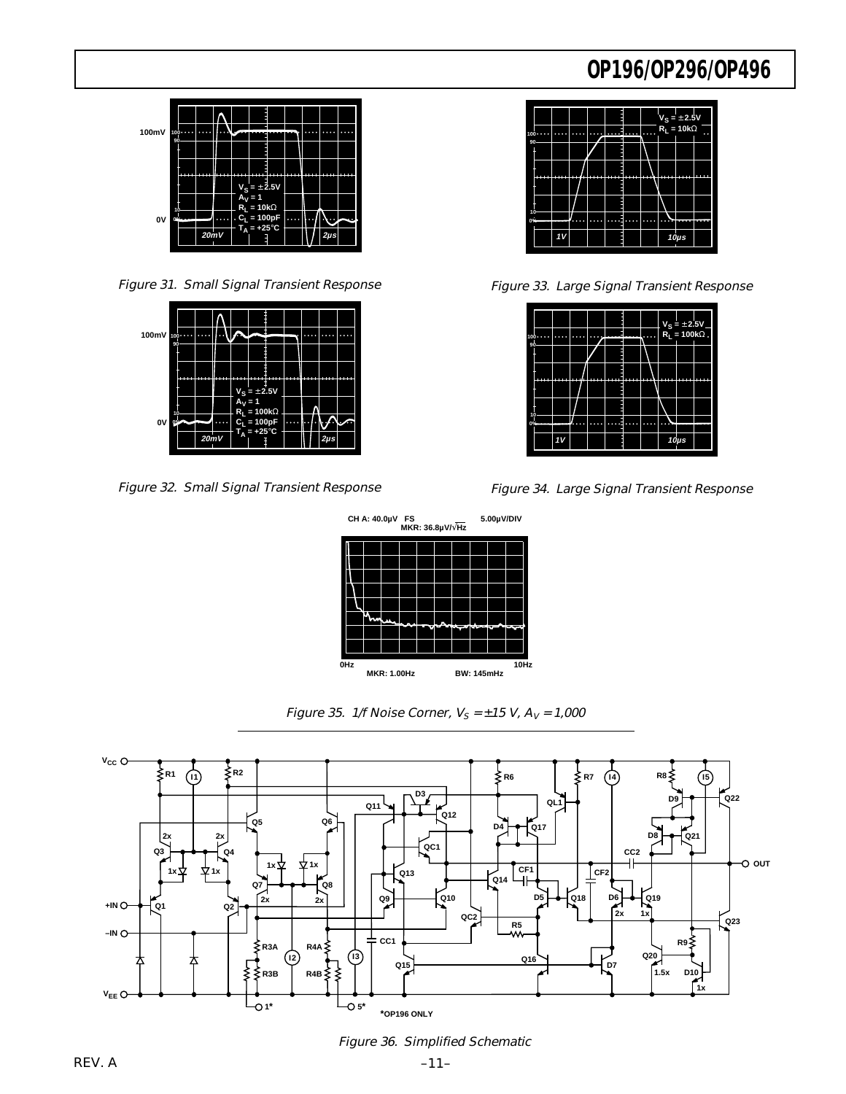

Figure 31. Small Signal Transient Response



Figure 32. Small Signal Transient Response





Figure 33. Large Signal Transient Response

| 10 |     |  |  |  | $V_S = \pm 2.5V$<br>R <sub>L</sub> = 100kΩ |  |
|----|-----|--|--|--|--------------------------------------------|--|
| 90 |     |  |  |  |                                            |  |
|    | um. |  |  |  |                                            |  |
|    |     |  |  |  |                                            |  |
| 10 |     |  |  |  |                                            |  |
| 0% |     |  |  |  |                                            |  |
|    |     |  |  |  | $10\mu s$                                  |  |





Figure 35. 1/f Noise Corner,  $V_S = \pm 15$  V,  $A_V = 1,000$ 



Figure 36. Simplified Schematic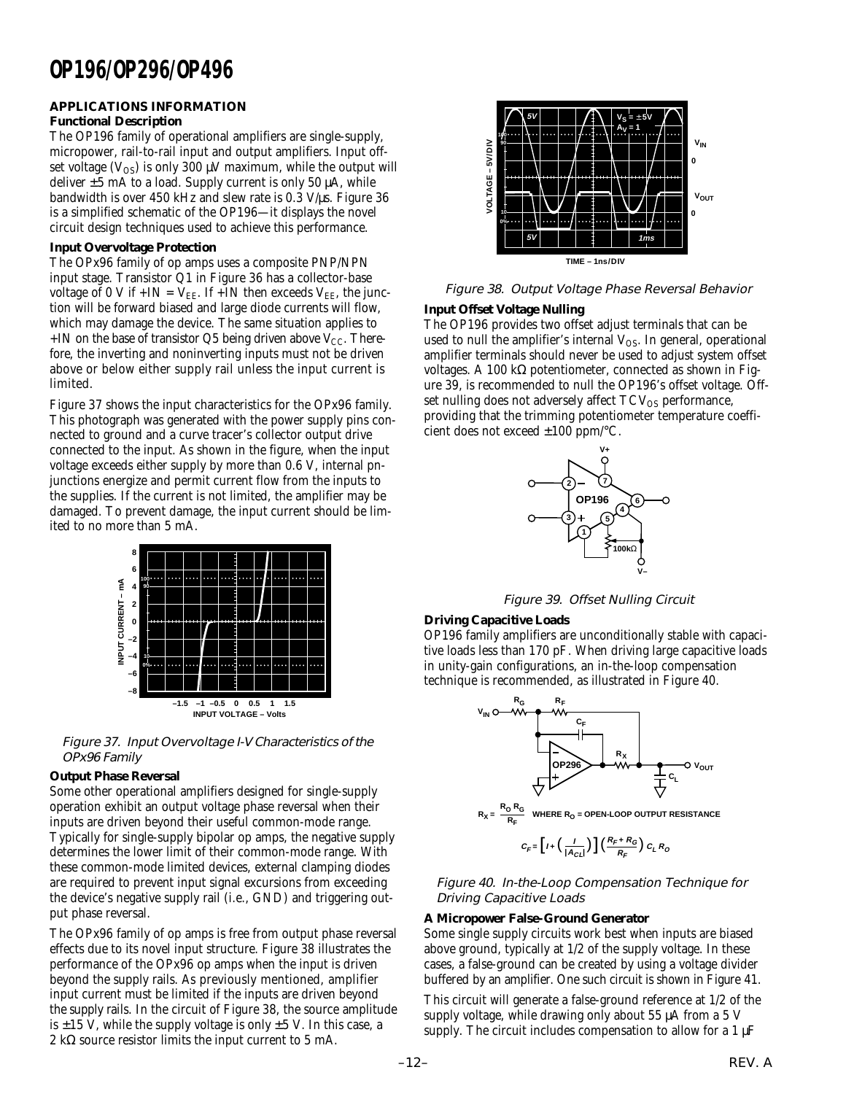### **APPLICATIONS INFORMATION**

### **Functional Description**

The OP196 family of operational amplifiers are single-supply, micropower, rail-to-rail input and output amplifiers. Input offset voltage  $(V_{OS})$  is only 300  $\mu V$  maximum, while the output will deliver  $\pm 5$  mA to a load. Supply current is only 50  $\mu$ A, while bandwidth is over 450 kHz and slew rate is 0.3 V/µs. Figure 36 is a simplified schematic of the OP196—it displays the novel circuit design techniques used to achieve this performance.

#### **Input Overvoltage Protection**

The OPx96 family of op amps uses a composite PNP/NPN input stage. Transistor Q1 in Figure 36 has a collector-base voltage of 0 V if  $+IN = V_{EE}$ . If  $+IN$  then exceeds  $V_{EE}$ , the junction will be forward biased and large diode currents will flow, which may damage the device. The same situation applies to +IN on the base of transistor Q5 being driven above  $V_{CC}$ . Therefore, the inverting and noninverting inputs must not be driven above or below either supply rail unless the input current is limited.

Figure 37 shows the input characteristics for the OPx96 family. This photograph was generated with the power supply pins connected to ground and a curve tracer's collector output drive connected to the input. As shown in the figure, when the input voltage exceeds either supply by more than 0.6 V, internal pnjunctions energize and permit current flow from the inputs to the supplies. If the current is not limited, the amplifier may be damaged. To prevent damage, the input current should be limited to no more than 5 mA.



Figure 37. Input Overvoltage I-V Characteristics of the OPx96 Family

### **Output Phase Reversal**

Some other operational amplifiers designed for single-supply operation exhibit an output voltage phase reversal when their inputs are driven beyond their useful common-mode range. Typically for single-supply bipolar op amps, the negative supply determines the lower limit of their common-mode range. With these common-mode limited devices, external clamping diodes are required to prevent input signal excursions from exceeding the device's negative supply rail (i.e., GND) and triggering output phase reversal.

The OPx96 family of op amps is free from output phase reversal effects due to its novel input structure. Figure 38 illustrates the performance of the OPx96 op amps when the input is driven beyond the supply rails. As previously mentioned, amplifier input current must be limited if the inputs are driven beyond the supply rails. In the circuit of Figure 38, the source amplitude is  $\pm 15$  V, while the supply voltage is only  $\pm 5$  V. In this case, a 2 kΩ source resistor limits the input current to 5 mA.



Figure 38. Output Voltage Phase Reversal Behavior

### **Input Offset Voltage Nulling**

The OP196 provides two offset adjust terminals that can be used to null the amplifier's internal  $V_{OS}$ . In general, operational amplifier terminals should never be used to adjust system offset voltages. A 100 kΩ potentiometer, connected as shown in Figure 39, is recommended to null the OP196's offset voltage. Offset nulling does not adversely affect  $TCV_{OS}$  performance, providing that the trimming potentiometer temperature coefficient does not exceed ±100 ppm/°C.



Figure 39. Offset Nulling Circuit

### **Driving Capacitive Loads**

OP196 family amplifiers are unconditionally stable with capacitive loads less than 170 pF. When driving large capacitive loads in unity-gain configurations, an in-the-loop compensation technique is recommended, as illustrated in Figure 40.





$$
C_F\text{=}\left[I+\left(\frac{I}{|A_{Cl}|}\right)\right]\left(\frac{R_F+R_G}{R_F}\right)C_LR_O
$$

Figure 40. In-the-Loop Compensation Technique for Driving Capacitive Loads

### **A Micropower False-Ground Generator**

Some single supply circuits work best when inputs are biased above ground, typically at 1/2 of the supply voltage. In these cases, a false-ground can be created by using a voltage divider buffered by an amplifier. One such circuit is shown in Figure 41.

This circuit will generate a false-ground reference at 1/2 of the supply voltage, while drawing only about 55 µA from a 5 V supply. The circuit includes compensation to allow for a  $1 \mu$ F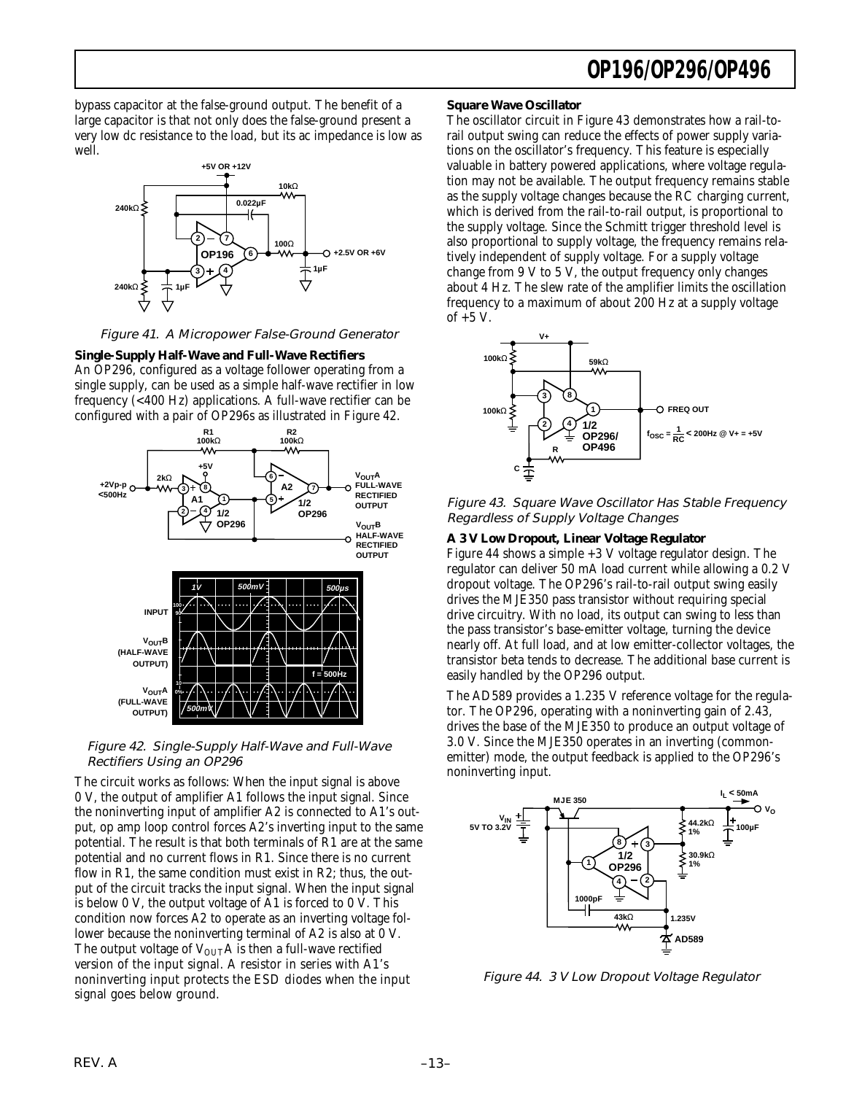bypass capacitor at the false-ground output. The benefit of a large capacitor is that not only does the false-ground present a very low dc resistance to the load, but its ac impedance is low as well.



Figure 41. A Micropower False-Ground Generator

**Single-Supply Half-Wave and Full-Wave Rectifiers**

An OP296, configured as a voltage follower operating from a single supply, can be used as a simple half-wave rectifier in low frequency (<400 Hz) applications. A full-wave rectifier can be configured with a pair of OP296s as illustrated in Figure 42.



Figure 42. Single-Supply Half-Wave and Full-Wave Rectifiers Using an OP296

The circuit works as follows: When the input signal is above 0 V, the output of amplifier A1 follows the input signal. Since the noninverting input of amplifier A2 is connected to A1's output, op amp loop control forces A2's inverting input to the same potential. The result is that both terminals of R1 are at the same potential and no current flows in R1. Since there is no current flow in R1, the same condition must exist in R2; thus, the output of the circuit tracks the input signal. When the input signal is below 0 V, the output voltage of A1 is forced to 0 V. This condition now forces A2 to operate as an inverting voltage follower because the noninverting terminal of A2 is also at 0 V. The output voltage of  $V_{\text{OUT}}A$  is then a full-wave rectified version of the input signal. A resistor in series with A1's noninverting input protects the ESD diodes when the input signal goes below ground.

#### **Square Wave Oscillator**

The oscillator circuit in Figure 43 demonstrates how a rail-torail output swing can reduce the effects of power supply variations on the oscillator's frequency. This feature is especially valuable in battery powered applications, where voltage regulation may not be available. The output frequency remains stable as the supply voltage changes because the RC charging current, which is derived from the rail-to-rail output, is proportional to the supply voltage. Since the Schmitt trigger threshold level is also proportional to supply voltage, the frequency remains relatively independent of supply voltage. For a supply voltage change from 9 V to 5 V, the output frequency only changes about 4 Hz. The slew rate of the amplifier limits the oscillation frequency to a maximum of about 200 Hz at a supply voltage of +5 V.



Figure 43. Square Wave Oscillator Has Stable Frequency Regardless of Supply Voltage Changes

#### **A 3 V Low Dropout, Linear Voltage Regulator**

Figure 44 shows a simple +3 V voltage regulator design. The regulator can deliver 50 mA load current while allowing a 0.2 V dropout voltage. The OP296's rail-to-rail output swing easily drives the MJE350 pass transistor without requiring special drive circuitry. With no load, its output can swing to less than the pass transistor's base-emitter voltage, turning the device nearly off. At full load, and at low emitter-collector voltages, the transistor beta tends to decrease. The additional base current is easily handled by the OP296 output.

The AD589 provides a 1.235 V reference voltage for the regulator. The OP296, operating with a noninverting gain of 2.43, drives the base of the MJE350 to produce an output voltage of 3.0 V. Since the MJE350 operates in an inverting (commonemitter) mode, the output feedback is applied to the OP296's noninverting input.



Figure 44. 3 V Low Dropout Voltage Regulator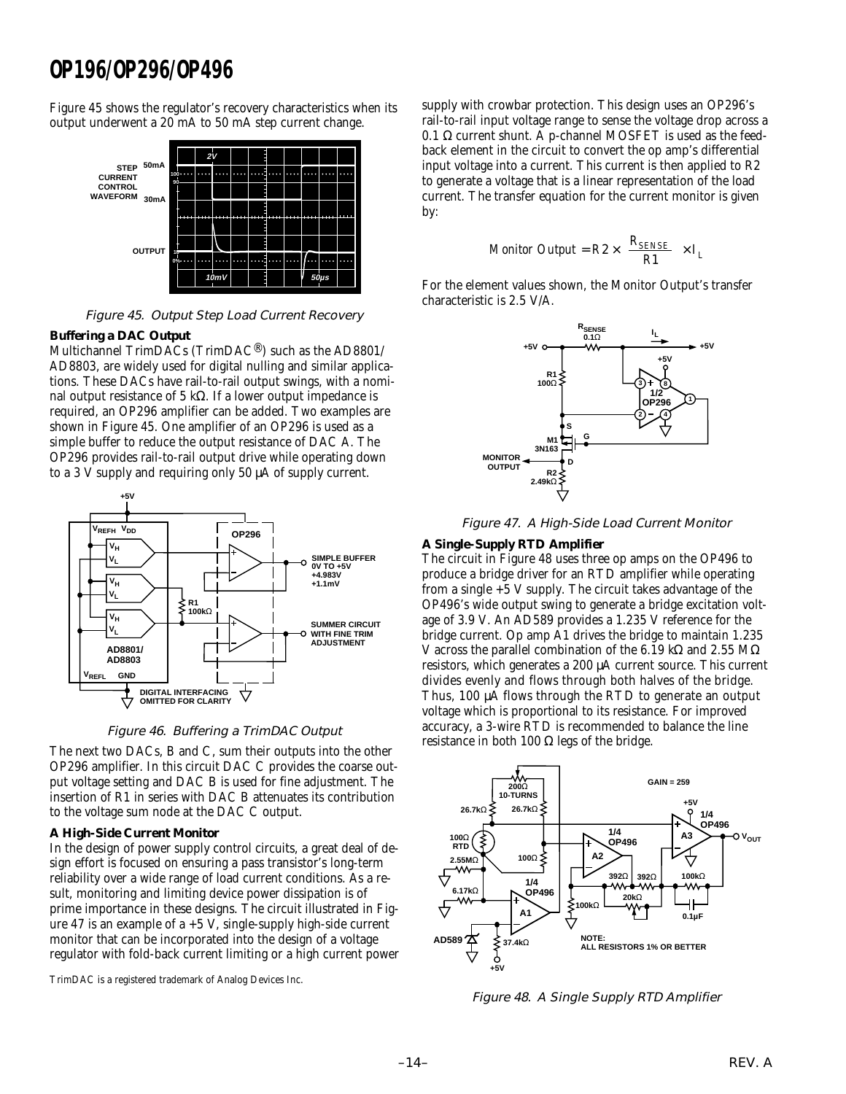Figure 45 shows the regulator's recovery characteristics when its output underwent a 20 mA to 50 mA step current change.



Figure 45. Output Step Load Current Recovery

#### **Buffering a DAC Output**

Multichannel TrimDACs (TrimDAC®) such as the AD8801/ AD8803, are widely used for digital nulling and similar applications. These DACs have rail-to-rail output swings, with a nominal output resistance of 5 kΩ. If a lower output impedance is required, an OP296 amplifier can be added. Two examples are shown in Figure 45. One amplifier of an OP296 is used as a simple buffer to reduce the output resistance of DAC A. The OP296 provides rail-to-rail output drive while operating down to a 3 V supply and requiring only 50 µA of supply current.



Figure 46. Buffering a TrimDAC Output

The next two DACs, B and C, sum their outputs into the other OP296 amplifier. In this circuit DAC C provides the coarse output voltage setting and DAC B is used for fine adjustment. The insertion of R1 in series with DAC B attenuates its contribution to the voltage sum node at the DAC C output.

#### **A High-Side Current Monitor**

In the design of power supply control circuits, a great deal of design effort is focused on ensuring a pass transistor's long-term reliability over a wide range of load current conditions. As a result, monitoring and limiting device power dissipation is of prime importance in these designs. The circuit illustrated in Figure 47 is an example of  $a + 5$  V, single-supply high-side current monitor that can be incorporated into the design of a voltage regulator with fold-back current limiting or a high current power

TrimDAC is a registered trademark of Analog Devices Inc.

supply with crowbar protection. This design uses an OP296's rail-to-rail input voltage range to sense the voltage drop across a 0.1 Ω current shunt. A p-channel MOSFET is used as the feedback element in the circuit to convert the op amp's differential input voltage into a current. This current is then applied to R2 to generate a voltage that is a linear representation of the load current. The transfer equation for the current monitor is given by:

$$
M\text{onitor Output} = R2 \times \left(\frac{R_{\text{SENSE}}}{R1}\right) \times I_L
$$

For the element values shown, the Monitor Output's transfer characteristic is 2.5 V/A.



Figure 47. A High-Side Load Current Monitor

#### **A Single-Supply RTD Amplifier**

The circuit in Figure 48 uses three op amps on the OP496 to produce a bridge driver for an RTD amplifier while operating from a single +5 V supply. The circuit takes advantage of the OP496's wide output swing to generate a bridge excitation voltage of 3.9 V. An AD589 provides a 1.235 V reference for the bridge current. Op amp A1 drives the bridge to maintain 1.235 V across the parallel combination of the 6.19 kΩ and 2.55 MΩ resistors, which generates a 200 µA current source. This current divides evenly and flows through both halves of the bridge. Thus, 100 µA flows through the RTD to generate an output voltage which is proportional to its resistance. For improved accuracy, a 3-wire RTD is recommended to balance the line resistance in both 100  $\Omega$  legs of the bridge.



Figure 48. A Single Supply RTD Amplifier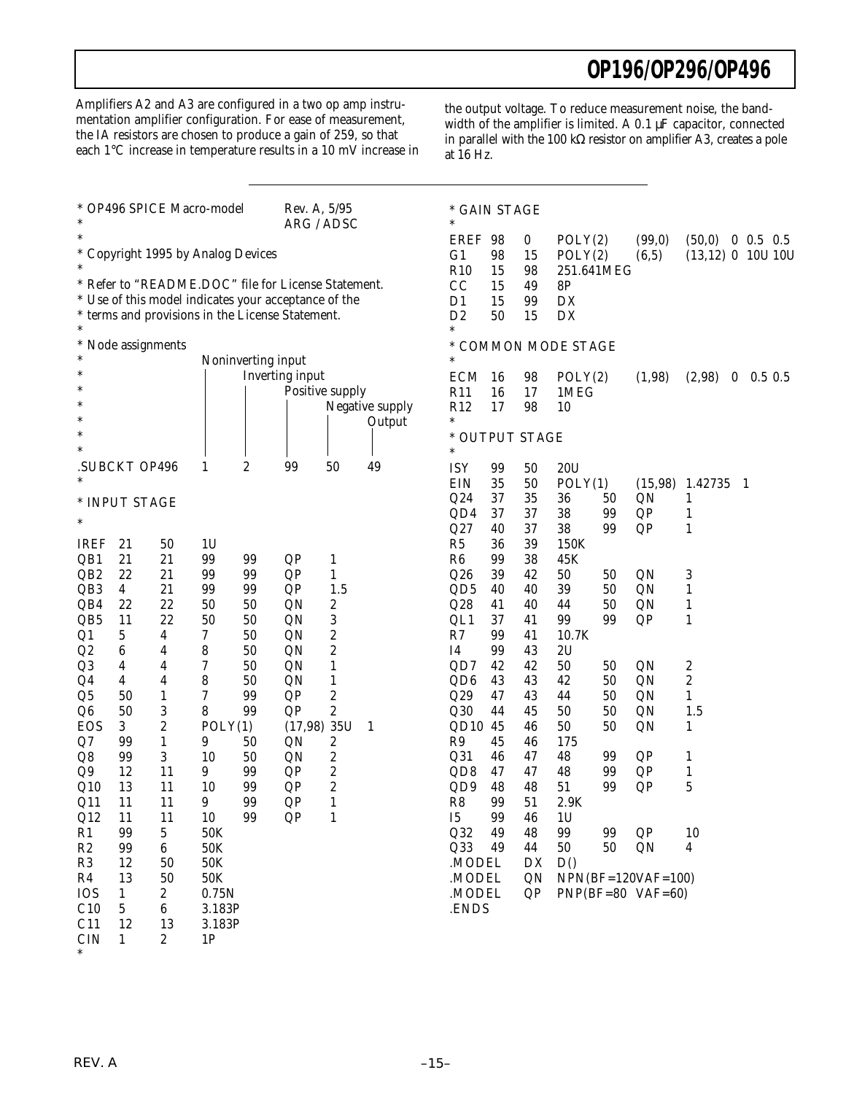Amplifiers A2 and A3 are configured in a two op amp instrumentation amplifier configuration. For ease of measurement, the IA resistors are chosen to produce a gain of 259, so that each 1°C increase in temperature results in a 10 mV increase in

the output voltage. To reduce measurement noise, the bandwidth of the amplifier is limited. A 0.1 µF capacitor, connected in parallel with the 100 kΩ resistor on amplifier A3, creates a pole at 16 Hz.

| * OP496 SPICE Macro-model<br>$\ast$     |                  |                              |                    | Rev. A, 5/95<br>ARG / ADSC |                                                                                                          |                              |                 | * GAIN STAGE<br>$\ast$           |          |          |                         |    |                      |                                           |          |            |
|-----------------------------------------|------------------|------------------------------|--------------------|----------------------------|----------------------------------------------------------------------------------------------------------|------------------------------|-----------------|----------------------------------|----------|----------|-------------------------|----|----------------------|-------------------------------------------|----------|------------|
| *<br>* Copyright 1995 by Analog Devices |                  |                              |                    |                            |                                                                                                          |                              |                 | <b>EREF</b><br>G <sub>1</sub>    | 98<br>98 | 0<br>15  | POLY(2)<br>POLY(2)      |    | (99,0)<br>(6, 5)     | $(50,0)$ 0 0.5 0.5<br>$(13,12)$ 0 10U 10U |          |            |
|                                         |                  |                              |                    |                            | * Refer to "README.DOC" file for License Statement.                                                      |                              |                 | R10<br>CC                        | 15<br>15 | 98<br>49 | 251.641MEG<br><b>8P</b> |    |                      |                                           |          |            |
|                                         |                  |                              |                    |                            | * Use of this model indicates your acceptance of the<br>* terms and provisions in the License Statement. |                              |                 | D <sub>1</sub><br>D <sub>2</sub> | 15<br>50 | 99<br>15 | DX<br>DX                |    |                      |                                           |          |            |
| *                                       | Node assignments |                              |                    |                            |                                                                                                          |                              |                 | *<br>$\ast$                      |          |          | * COMMON MODE STAGE     |    |                      |                                           |          |            |
| $\ast$                                  |                  |                              | Noninverting input |                            |                                                                                                          |                              |                 |                                  |          |          |                         |    |                      |                                           |          |            |
|                                         |                  |                              |                    |                            | Inverting input                                                                                          |                              |                 | <b>ECM</b>                       | -16      | 98       | POLY(2)                 |    | (1,98)               | (2,98)                                    | $\bf{0}$ | $0.5\;0.5$ |
|                                         |                  |                              |                    |                            | Positive supply                                                                                          |                              |                 | R11                              | 16       | 17       | 1MEG                    |    |                      |                                           |          |            |
| $\ast$                                  |                  |                              |                    |                            |                                                                                                          |                              | Negative supply | R12                              | 17       | 98       | 10                      |    |                      |                                           |          |            |
|                                         |                  |                              |                    |                            |                                                                                                          |                              | Output          | $\ast$                           |          |          |                         |    |                      |                                           |          |            |
|                                         |                  |                              |                    |                            |                                                                                                          |                              |                 | * OUTPUT STAGE<br>$\ast$         |          |          |                         |    |                      |                                           |          |            |
|                                         | SUBCKT OP496     |                              | 1                  | 2                          | 99                                                                                                       | 50                           | 49              | <b>ISY</b>                       | 99       | 50       | 20U                     |    |                      |                                           |          |            |
|                                         |                  |                              |                    |                            |                                                                                                          |                              |                 | <b>EIN</b>                       | 35       | 50       | POLY(1)                 |    | (15,98)              | 1.42735                                   | -1       |            |
|                                         |                  |                              |                    |                            |                                                                                                          |                              |                 | Q24                              | 37       | 35       | 36                      | 50 | QN                   | 1                                         |          |            |
|                                         | * INPUT STAGE    |                              |                    |                            |                                                                                                          |                              |                 | QD4                              | 37       | 37       | 38                      | 99 | QP                   | $\mathbf{1}$                              |          |            |
| $\ast$                                  |                  |                              |                    |                            |                                                                                                          |                              |                 | Q27                              | 40       | 37       | 38                      | 99 | QP                   | 1                                         |          |            |
| <b>IREF</b>                             | 21               | 50                           | 1U                 |                            |                                                                                                          |                              |                 | R5                               | 36       | 39       | 150K                    |    |                      |                                           |          |            |
| QB1                                     | 21               | 21                           | 99                 | 99                         | QP                                                                                                       |                              |                 | R6                               | 99       | 38       | 45K                     |    |                      |                                           |          |            |
| QB <sub>2</sub>                         | 22               | 21                           | 99                 | 99                         | QP                                                                                                       | $\mathbf{1}$<br>$\mathbf{1}$ |                 | Q26                              | 39       | 42       | 50                      | 50 | QN                   | 3                                         |          |            |
| QB <sub>3</sub>                         | 4                | 21                           | 99                 | 99                         | QP                                                                                                       | 1.5                          |                 | QD <sub>5</sub>                  | 40       | 40       | 39                      | 50 | QN                   | 1                                         |          |            |
| QB4                                     | 22               | 22                           | 50                 | 50                         | QN                                                                                                       | $\boldsymbol{2}$             |                 | Q28                              | 41       | 40       | 44                      | 50 | QN                   | 1                                         |          |            |
| QB5                                     | 11               | 22                           | 50                 | 50                         | QN                                                                                                       | $\boldsymbol{3}$             |                 | QL1                              | 37       | 41       | 99                      | 99 | QP                   | 1                                         |          |            |
|                                         | 5                | 4                            | 7                  | 50                         | QN                                                                                                       | $\boldsymbol{2}$             |                 | R7                               | 99       | 41       | 10.7K                   |    |                      |                                           |          |            |
| Q1<br>Q2                                | 6                | 4                            | 8                  | 50                         | QN                                                                                                       | $\boldsymbol{2}$             |                 | Ι4                               | 99       | 43       | 2U                      |    |                      |                                           |          |            |
|                                         |                  | 4                            | 7                  | 50                         | QN                                                                                                       |                              |                 | QD7                              | 42       | 42       | 50                      | 50 | QN                   |                                           |          |            |
| Q <sub>3</sub>                          | 4                | 4                            | 8                  | 50                         |                                                                                                          | $\mathbf{1}$                 |                 | QD <sub>6</sub>                  | 43       | 43       | 42                      | 50 |                      | 2<br>$\boldsymbol{2}$                     |          |            |
| Q4                                      | 4<br>50          |                              |                    |                            | QN                                                                                                       | $\mathbf{1}$                 |                 |                                  |          |          |                         |    | QN                   |                                           |          |            |
| Q <sub>5</sub>                          |                  | $\mathbf{1}$                 | 7<br>8             | 99<br>99                   | QP                                                                                                       | 2<br>$\boldsymbol{2}$        |                 | Q29                              | 47<br>44 | 43       | 44                      | 50 | QN                   | 1                                         |          |            |
| Q6<br><b>EOS</b>                        | 50<br>3          | 3<br>$\overline{\mathbf{c}}$ |                    |                            | QP                                                                                                       |                              |                 | Q30                              |          | 45       | 50<br>50                | 50 | QN                   | 1.5                                       |          |            |
|                                         |                  |                              | POLY(1)            |                            | $(17,98)$ 35U                                                                                            |                              | 1               | QD10 45<br>R9                    | 45       | 46<br>46 |                         | 50 | QN                   | 1                                         |          |            |
| Q7                                      | 99               | $\mathbf{1}$                 | 9                  | 50                         | QN                                                                                                       | $\boldsymbol{2}$             |                 |                                  |          |          | 175                     |    |                      |                                           |          |            |
| Q8                                      | 99               | 3                            | 10                 | 50                         | QN                                                                                                       | $\boldsymbol{2}$             |                 | Q31                              | 46       | 47       | 48                      | 99 | QP                   | 1                                         |          |            |
| Q9                                      | 12               | 11                           | 9                  | 99                         | QP                                                                                                       | $\boldsymbol{2}$             |                 | QD8                              | 47       | 47       | 48                      | 99 | QP                   | 1                                         |          |            |
| Q10                                     | 13               | 11                           | 10                 | 99                         | QP                                                                                                       | $\boldsymbol{2}$             |                 | QD9                              | 48       | 48       | 51                      | 99 | QP                   | 5                                         |          |            |
| Q11                                     | 11               | 11                           | 9                  | 99                         | QP                                                                                                       | $\mathbf{1}$                 |                 | R8                               | 99       | 51       | 2.9K                    |    |                      |                                           |          |            |
| Q12                                     | 11               | 11                           | 10                 | 99                         | QP                                                                                                       | $\mathbf{1}$                 |                 | I5                               | 99       | 46       | 1 <sub>U</sub>          |    |                      |                                           |          |            |
| R1                                      | 99               | 5                            | 50K                |                            |                                                                                                          |                              |                 | Q32                              | 49       | 48       | 99                      | 99 | QP                   | 10                                        |          |            |
| $\mathbb{R}2$                           | 99               | 6                            | 50K                |                            |                                                                                                          |                              |                 | Q33                              | 49       | 44       | 50                      | 50 | QN                   | 4                                         |          |            |
| R3                                      | 12               | 50                           | 50K                |                            |                                                                                                          |                              |                 | .MODEL                           |          | DX       | D()                     |    |                      |                                           |          |            |
| R4                                      | 13               | 50                           | 50K                |                            |                                                                                                          |                              |                 | .MODEL                           |          | QN       |                         |    | $NPN(BF=120VAF=100)$ |                                           |          |            |
| <b>IOS</b>                              | $\mathbf{1}$     | 2                            | 0.75N              |                            |                                                                                                          |                              |                 | .MODEL                           |          | QP       |                         |    | $PNP(BF=80$ VAF=60)  |                                           |          |            |
| C10                                     | 5                | 6                            | 3.183P             |                            |                                                                                                          |                              |                 | .ENDS                            |          |          |                         |    |                      |                                           |          |            |
| C11                                     | 12               | 13                           | 3.183P             |                            |                                                                                                          |                              |                 |                                  |          |          |                         |    |                      |                                           |          |            |
| <b>CIN</b>                              | $\mathbf{1}$     | $\boldsymbol{2}$             | 1P                 |                            |                                                                                                          |                              |                 |                                  |          |          |                         |    |                      |                                           |          |            |

 $\frac{6}{10}$